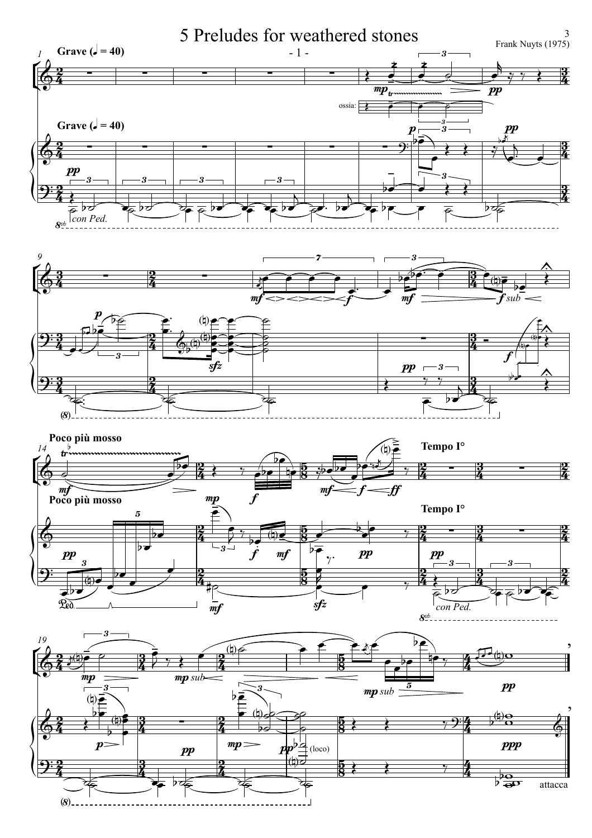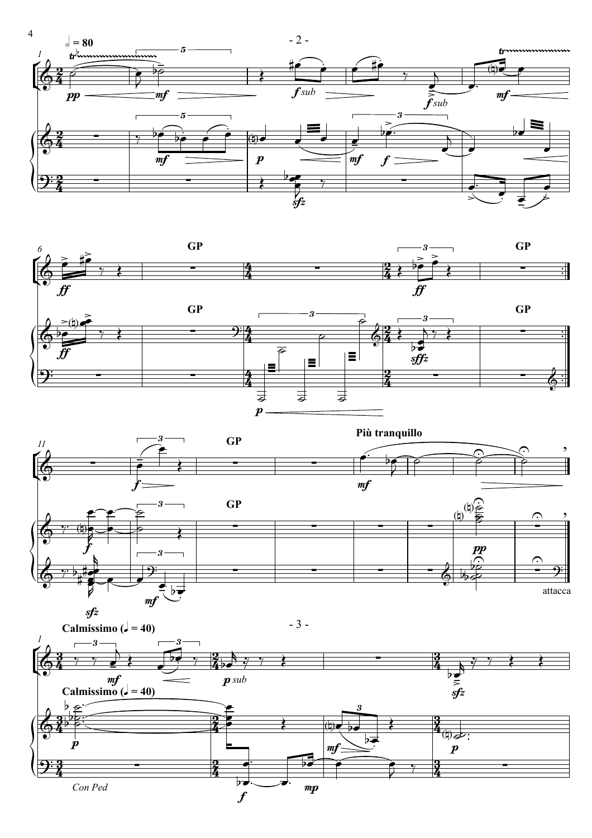